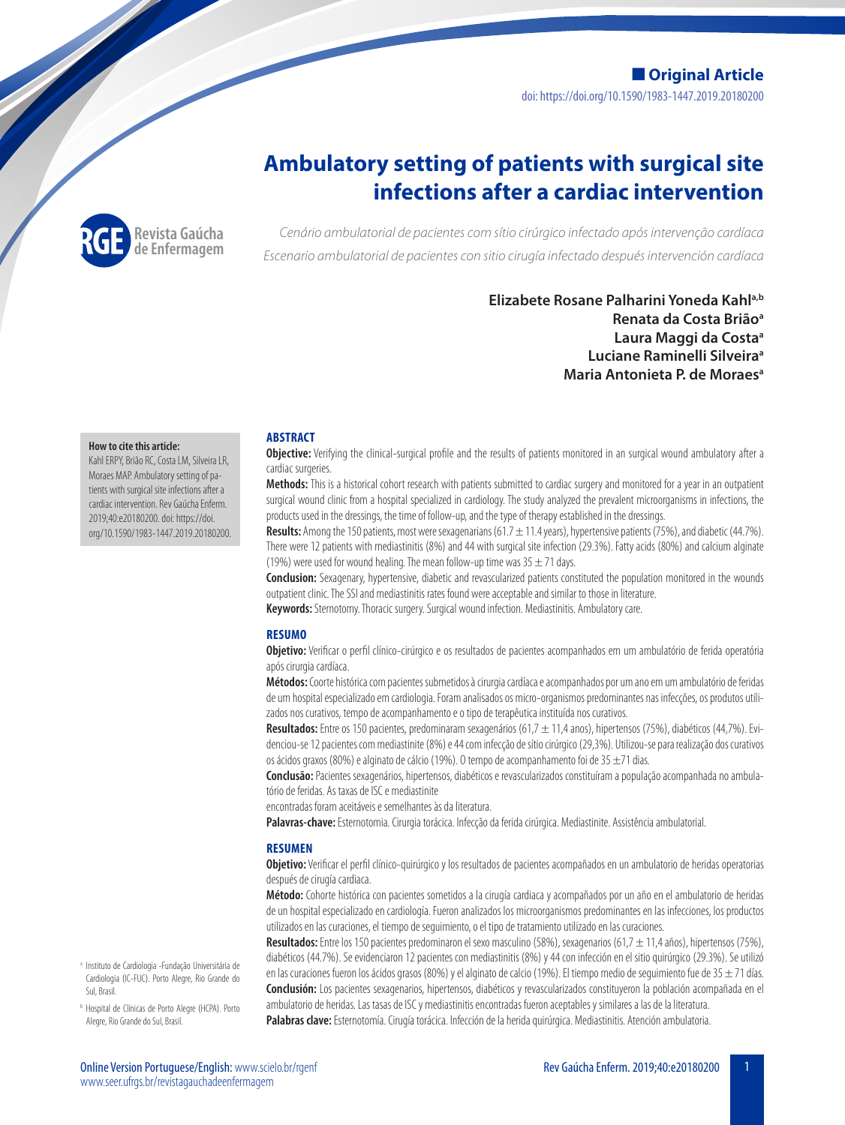**Original Article** doi: https://doi.org/10.1590/1983-1447.2019.20180200

# **Ambulatory setting of patients with surgical site infections after a cardiac intervention**



*Cenário ambulatorial de pacientes com sítio cirúrgico infectado após intervenção cardíaca Escenario ambulatorial de pacientes con sitio cirugía infectado después intervención cardíaca*

> **Elizabete Rosane Palharini Yoneda Kahla,b Renata da Costa Briãoa Laura Maggi da Costaa Luciane Raminelli Silveiraa Maria Antonieta P. de Moraesa**

#### **How to cite this article:**

Kahl ERPY, Brião RC, Costa LM, Silveira LR, Moraes MAP. Ambulatory setting of patients with surgical site infections after a cardiac intervention. Rev Gaúcha Enferm. 2019;40:e20180200. doi: [https://doi.](https://doi.org/10.1590/1983-1447.2019.20180200) [org/10.1590/1983-1447.2019.20180200.](https://doi.org/10.1590/1983-1447.2019.20180200)

#### **ABSTRACT**

**Objective:** Verifying the clinical-surgical profile and the results of patients monitored in an surgical wound ambulatory after a cardiac surgeries.

**Methods:** This is a historical cohort research with patients submitted to cardiac surgery and monitored for a year in an outpatient surgical wound clinic from a hospital specialized in cardiology. The study analyzed the prevalent microorganisms in infections, the products used in the dressings, the time of follow-up, and the type of therapy established in the dressings.

**Results:** Among the 150 patients, most were sexagenarians (61.7 ± 11.4 years), hypertensive patients (75%), and diabetic (44.7%). There were 12 patients with mediastinitis (8%) and 44 with surgical site infection (29.3%). Fatty acids (80%) and calcium alginate (19%) were used for wound healing. The mean follow-up time was  $35 \pm 71$  days.

**Conclusion:** Sexagenary, hypertensive, diabetic and revascularized patients constituted the population monitored in the wounds outpatient clinic. The SSI and mediastinitis rates found were acceptable and similar to those in literature.

**Keywords:** Sternotomy. Thoracic surgery. Surgical wound infection. Mediastinitis. Ambulatory care.

#### **RESUMO**

**Objetivo:** Verificar o perfil clínico-cirúrgico e os resultados de pacientes acompanhados em um ambulatório de ferida operatória após cirurgia cardíaca.

**Métodos:** Coorte histórica com pacientes submetidos à cirurgia cardíaca e acompanhados por um ano em um ambulatório de feridas de um hospital especializado em cardiologia. Foram analisados os micro-organismos predominantes nas infecções, os produtos utilizados nos curativos, tempo de acompanhamento e o tipo de terapêutica instituída nos curativos.

**Resultados:** Entre os 150 pacientes, predominaram sexagenários (61,7 ± 11,4 anos), hipertensos (75%), diabéticos (44,7%). Evidenciou-se 12 pacientes com mediastinite (8%) e 44 com infecção de sítio cirúrgico (29,3%). Utilizou-se para realização dos curativos os ácidos graxos (80%) e alginato de cálcio (19%). O tempo de acompanhamento foi de 35  $\pm$ 71 dias.

**Conclusão:** Pacientes sexagenários, hipertensos, diabéticos e revascularizados constituíram a população acompanhada no ambulatório de feridas. As taxas de ISC e mediastinite

encontradas foram aceitáveis e semelhantes às da literatura.

**Palavras-chave:** Esternotomia. Cirurgia torácica. Infecção da ferida cirúrgica. Mediastinite. Assistência ambulatorial.

#### **RESUMEN**

**Objetivo:** Verificar el perfil clínico-quirúrgico y los resultados de pacientes acompañados en un ambulatorio de heridas operatorias después de cirugía cardiaca.

**Método:** Cohorte histórica con pacientes sometidos a la cirugía cardiaca y acompañados por un año en el ambulatorio de heridas de un hospital especializado en cardiología. Fueron analizados los microorganismos predominantes en las infecciones, los productos utilizados en las curaciones, el tiempo de seguimiento, o el tipo de tratamiento utilizado en las curaciones.

**Resultados:** Entre los 150 pacientes predominaron el sexo masculino (58%), sexagenarios (61,7 ± 11,4 años), hipertensos (75%), diabéticos (44.7%). Se evidenciaron 12 pacientes con mediastinitis (8%) y 44 con infección en el sitio quirúrgico (29.3%). Se utilizó en las curaciones fueron los ácidos grasos (80%) y el alginato de calcio (19%). El tiempo medio de seguimiento fue de 35  $\pm$  71 días. **Conclusión:** Los pacientes sexagenarios, hipertensos, diabéticos y revascularizados constituyeron la población acompañada en el ambulatorio de heridas. Las tasas de ISC y mediastinitis encontradas fueron aceptables y similares a las de la literatura. **Palabras clave:** Esternotomía. Cirugía torácica. Infección de la herida quirúrgica. Mediastinitis. Atención ambulatoria.

<sup>a</sup> Instituto de Cardiologia -Fundação Universitária de Cardiologia (IC-FUC). Porto Alegre, Rio Grande do Sul, Brasil.

<sup>b</sup> Hospital de Clínicas de Porto Alegre (HCPA). Porto Alegre, Rio Grande do Sul, Brasil.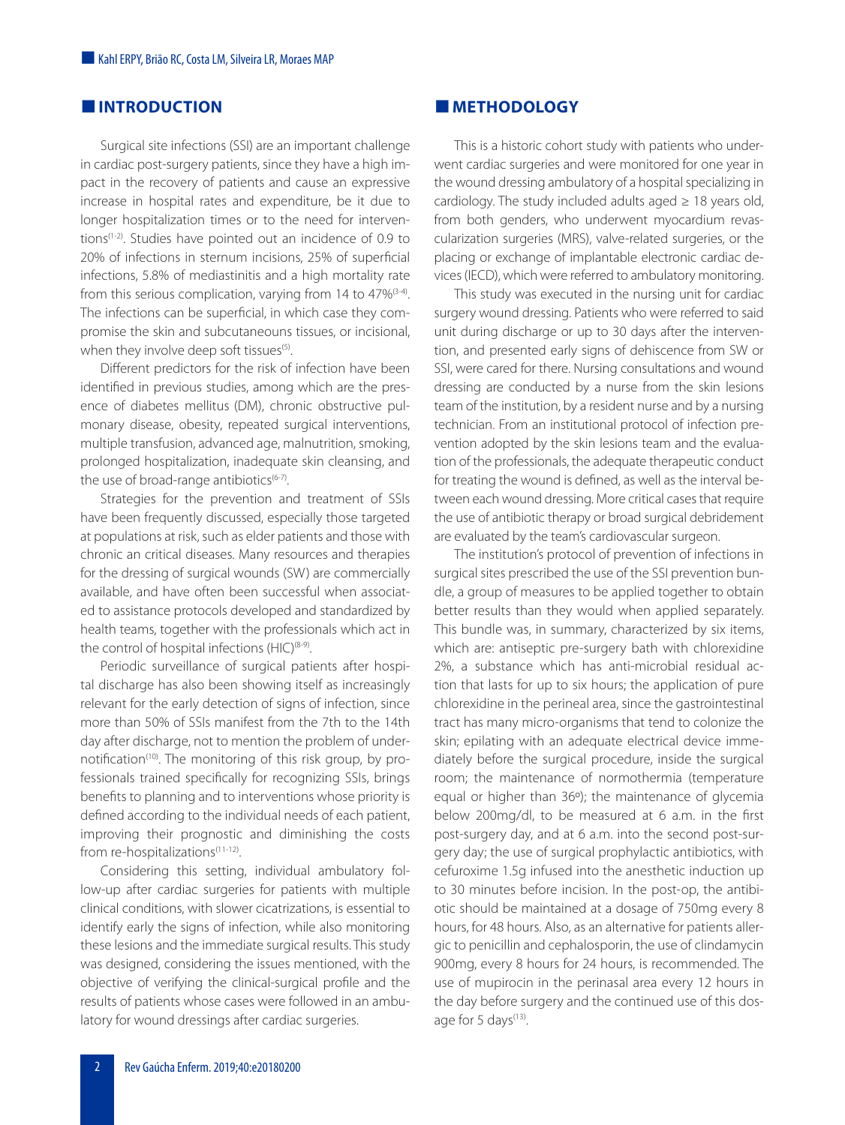# **INTRODUCTION**

Surgical site infections (SSI) are an important challenge in cardiac post-surgery patients, since they have a high impact in the recovery of patients and cause an expressive increase in hospital rates and expenditure, be it due to longer hospitalization times or to the need for interventions(1-2). Studies have pointed out an incidence of 0.9 to 20% of infections in sternum incisions, 25% of superficial infections, 5.8% of mediastinitis and a high mortality rate from this serious complication, varying from 14 to 47%<sup>(3-4)</sup>. The infections can be superficial, in which case they compromise the skin and subcutaneouns tissues, or incisional, when they involve deep soft tissues<sup>(5)</sup>.

Different predictors for the risk of infection have been identified in previous studies, among which are the presence of diabetes mellitus (DM), chronic obstructive pulmonary disease, obesity, repeated surgical interventions, multiple transfusion, advanced age, malnutrition, smoking, prolonged hospitalization, inadequate skin cleansing, and the use of broad-range antibiotics<sup>(6-7)</sup>.

Strategies for the prevention and treatment of SSIs have been frequently discussed, especially those targeted at populations at risk, such as elder patients and those with chronic an critical diseases. Many resources and therapies for the dressing of surgical wounds (SW) are commercially available, and have often been successful when associated to assistance protocols developed and standardized by health teams, together with the professionals which act in the control of hospital infections (HIC) $(8-9)$ .

Periodic surveillance of surgical patients after hospital discharge has also been showing itself as increasingly relevant for the early detection of signs of infection, since more than 50% of SSIs manifest from the 7th to the 14th day after discharge, not to mention the problem of undernotification<sup>(10)</sup>. The monitoring of this risk group, by professionals trained specifically for recognizing SSIs, brings benefits to planning and to interventions whose priority is defined according to the individual needs of each patient, improving their prognostic and diminishing the costs from re-hospitalizations<sup>(11-12)</sup>.

Considering this setting, individual ambulatory follow-up after cardiac surgeries for patients with multiple clinical conditions, with slower cicatrizations, is essential to identify early the signs of infection, while also monitoring these lesions and the immediate surgical results. This study was designed, considering the issues mentioned, with the objective of verifying the clinical-surgical profile and the results of patients whose cases were followed in an ambulatory for wound dressings after cardiac surgeries.

# **METHODOLOGY**

This is a historic cohort study with patients who underwent cardiac surgeries and were monitored for one year in the wound dressing ambulatory of a hospital specializing in cardiology. The study included adults aged  $\geq$  18 years old, from both genders, who underwent myocardium revascularization surgeries (MRS), valve-related surgeries, or the placing or exchange of implantable electronic cardiac devices (IECD), which were referred to ambulatory monitoring.

This study was executed in the nursing unit for cardiac surgery wound dressing. Patients who were referred to said unit during discharge or up to 30 days after the intervention, and presented early signs of dehiscence from SW or SSI, were cared for there. Nursing consultations and wound dressing are conducted by a nurse from the skin lesions team of the institution, by a resident nurse and by a nursing technician. From an institutional protocol of infection prevention adopted by the skin lesions team and the evaluation of the professionals, the adequate therapeutic conduct for treating the wound is defined, as well as the interval between each wound dressing. More critical cases that require the use of antibiotic therapy or broad surgical debridement are evaluated by the team's cardiovascular surgeon.

The institution's protocol of prevention of infections in surgical sites prescribed the use of the SSI prevention bundle, a group of measures to be applied together to obtain better results than they would when applied separately. This bundle was, in summary, characterized by six items, which are: antiseptic pre-surgery bath with chlorexidine 2%, a substance which has anti-microbial residual action that lasts for up to six hours; the application of pure chlorexidine in the perineal area, since the gastrointestinal tract has many micro-organisms that tend to colonize the skin; epilating with an adequate electrical device immediately before the surgical procedure, inside the surgical room; the maintenance of normothermia (temperature equal or higher than 36º); the maintenance of glycemia below 200mg/dl, to be measured at 6 a.m. in the first post-surgery day, and at 6 a.m. into the second post-surgery day; the use of surgical prophylactic antibiotics, with cefuroxime 1.5g infused into the anesthetic induction up to 30 minutes before incision. In the post-op, the antibiotic should be maintained at a dosage of 750mg every 8 hours, for 48 hours. Also, as an alternative for patients allergic to penicillin and cephalosporin, the use of clindamycin 900mg, every 8 hours for 24 hours, is recommended. The use of mupirocin in the perinasal area every 12 hours in the day before surgery and the continued use of this dosage for 5 days<sup>(13)</sup>.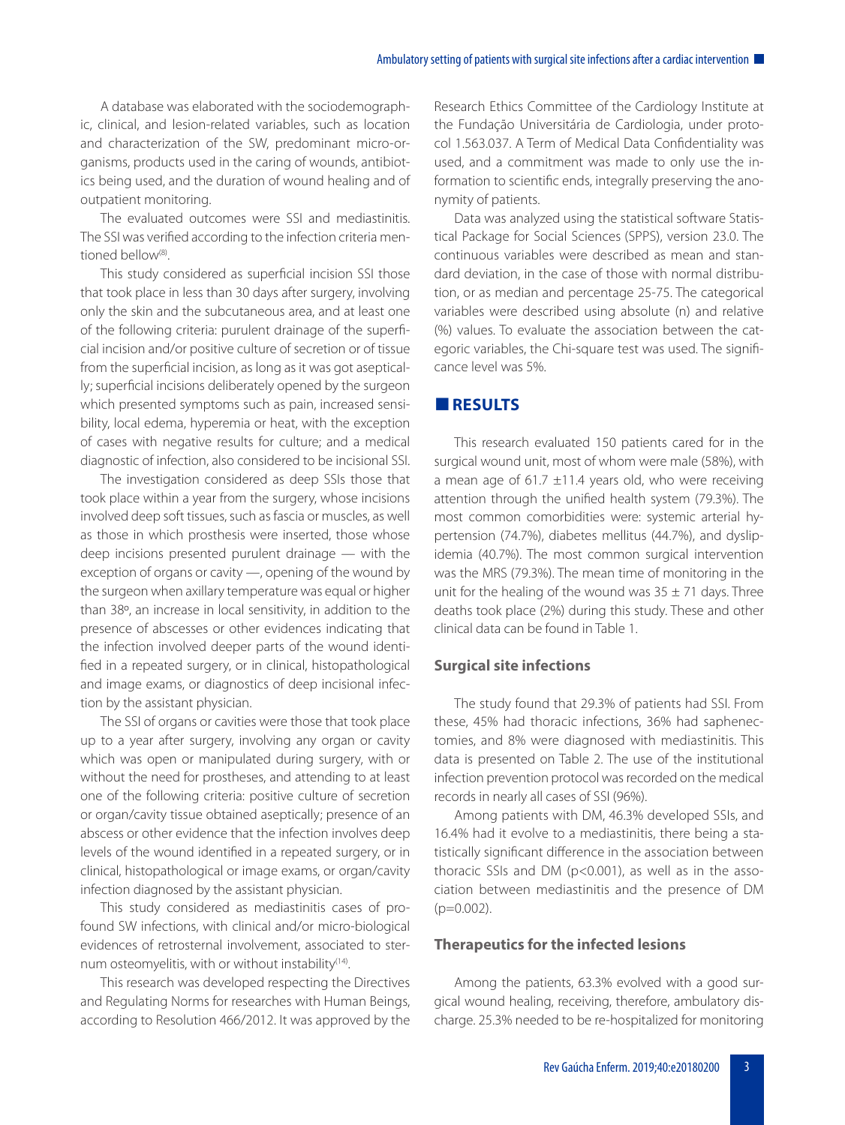A database was elaborated with the sociodemographic, clinical, and lesion-related variables, such as location and characterization of the SW, predominant micro-organisms, products used in the caring of wounds, antibiotics being used, and the duration of wound healing and of outpatient monitoring.

The evaluated outcomes were SSI and mediastinitis. The SSI was verified according to the infection criteria mentioned bellow<sup>(8)</sup>.

This study considered as superficial incision SSI those that took place in less than 30 days after surgery, involving only the skin and the subcutaneous area, and at least one of the following criteria: purulent drainage of the superficial incision and/or positive culture of secretion or of tissue from the superficial incision, as long as it was got aseptically; superficial incisions deliberately opened by the surgeon which presented symptoms such as pain, increased sensibility, local edema, hyperemia or heat, with the exception of cases with negative results for culture; and a medical diagnostic of infection, also considered to be incisional SSI.

The investigation considered as deep SSIs those that took place within a year from the surgery, whose incisions involved deep soft tissues, such as fascia or muscles, as well as those in which prosthesis were inserted, those whose deep incisions presented purulent drainage — with the exception of organs or cavity —, opening of the wound by the surgeon when axillary temperature was equal or higher than 38º, an increase in local sensitivity, in addition to the presence of abscesses or other evidences indicating that the infection involved deeper parts of the wound identified in a repeated surgery, or in clinical, histopathological and image exams, or diagnostics of deep incisional infection by the assistant physician.

The SSI of organs or cavities were those that took place up to a year after surgery, involving any organ or cavity which was open or manipulated during surgery, with or without the need for prostheses, and attending to at least one of the following criteria: positive culture of secretion or organ/cavity tissue obtained aseptically; presence of an abscess or other evidence that the infection involves deep levels of the wound identified in a repeated surgery, or in clinical, histopathological or image exams, or organ/cavity infection diagnosed by the assistant physician.

This study considered as mediastinitis cases of profound SW infections, with clinical and/or micro-biological evidences of retrosternal involvement, associated to sternum osteomyelitis, with or without instability<sup>(14)</sup>.

This research was developed respecting the Directives and Regulating Norms for researches with Human Beings, according to Resolution 466/2012. It was approved by the

Research Ethics Committee of the Cardiology Institute at the Fundação Universitária de Cardiologia, under protocol 1.563.037. A Term of Medical Data Confidentiality was used, and a commitment was made to only use the information to scientific ends, integrally preserving the anonymity of patients.

Data was analyzed using the statistical software Statistical Package for Social Sciences (SPPS), version 23.0. The continuous variables were described as mean and standard deviation, in the case of those with normal distribution, or as median and percentage 25-75. The categorical variables were described using absolute (n) and relative (%) values. To evaluate the association between the categoric variables, the Chi-square test was used. The significance level was 5%.

## **RESULTS**

This research evaluated 150 patients cared for in the surgical wound unit, most of whom were male (58%), with a mean age of 61.7  $\pm$ 11.4 years old, who were receiving attention through the unified health system (79.3%). The most common comorbidities were: systemic arterial hypertension (74.7%), diabetes mellitus (44.7%), and dyslipidemia (40.7%). The most common surgical intervention was the MRS (79.3%). The mean time of monitoring in the unit for the healing of the wound was  $35 \pm 71$  days. Three deaths took place (2%) during this study. These and other clinical data can be found in Table 1.

#### **Surgical site infections**

The study found that 29.3% of patients had SSI. From these, 45% had thoracic infections, 36% had saphenectomies, and 8% were diagnosed with mediastinitis. This data is presented on Table 2. The use of the institutional infection prevention protocol was recorded on the medical records in nearly all cases of SSI (96%).

Among patients with DM, 46.3% developed SSIs, and 16.4% had it evolve to a mediastinitis, there being a statistically significant difference in the association between thoracic SSIs and DM (p<0.001), as well as in the association between mediastinitis and the presence of DM  $(p=0.002)$ .

#### **Therapeutics for the infected lesions**

Among the patients, 63.3% evolved with a good surgical wound healing, receiving, therefore, ambulatory discharge. 25.3% needed to be re-hospitalized for monitoring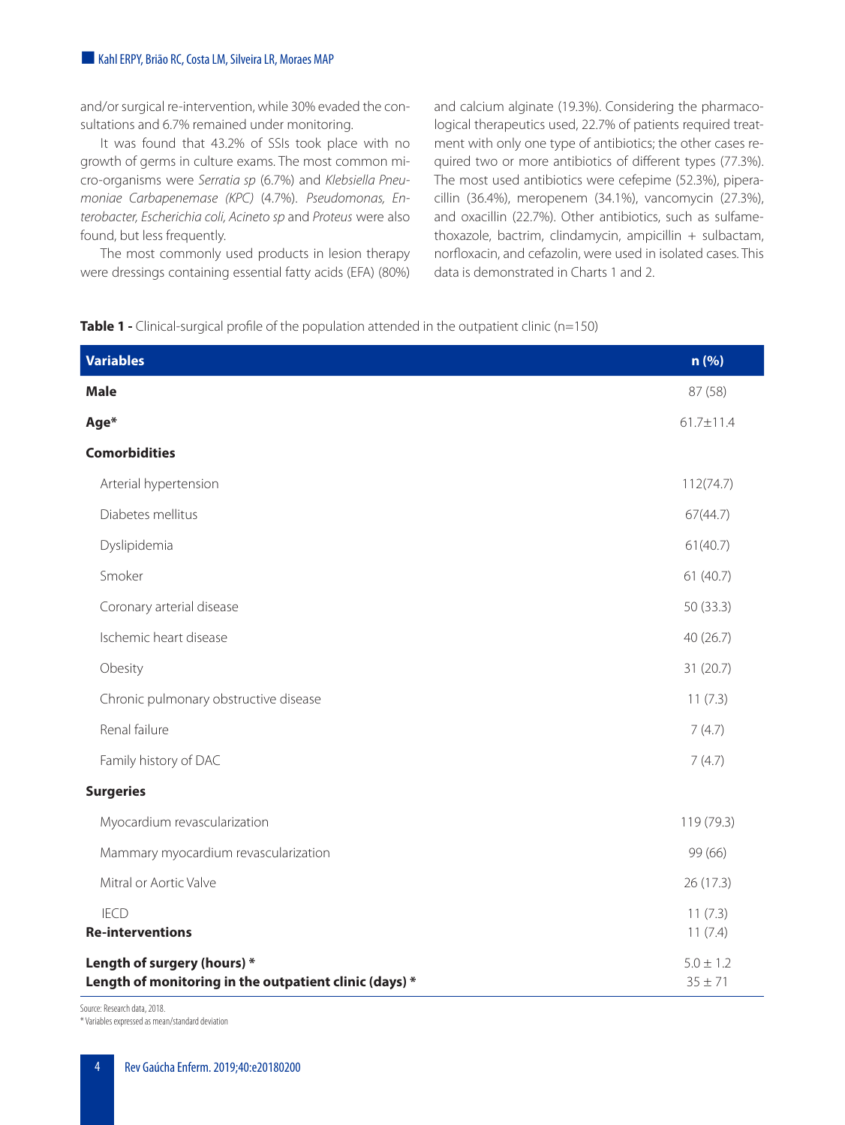and/or surgical re-intervention, while 30% evaded the consultations and 6.7% remained under monitoring.

It was found that 43.2% of SSIs took place with no growth of germs in culture exams. The most common micro-organisms were *Serratia sp* (6.7%) and *Klebsiella Pneumoniae Carbapenemase (KPC)* (4.7%). *Pseudomonas, Enterobacter, Escherichia coli, Acineto sp* and *Proteus* were also found, but less frequently.

The most commonly used products in lesion therapy were dressings containing essential fatty acids (EFA) (80%) and calcium alginate (19.3%). Considering the pharmacological therapeutics used, 22.7% of patients required treatment with only one type of antibiotics; the other cases required two or more antibiotics of different types (77.3%). The most used antibiotics were cefepime (52.3%), piperacillin (36.4%), meropenem (34.1%), vancomycin (27.3%), and oxacillin (22.7%). Other antibiotics, such as sulfamethoxazole, bactrim, clindamycin, ampicillin + sulbactam, norfloxacin, and cefazolin, were used in isolated cases. This data is demonstrated in Charts 1 and 2.

|  | Table 1 - Clinical-surgical profile of the population attended in the outpatient clinic (n=150) |  |  |  |  |  |
|--|-------------------------------------------------------------------------------------------------|--|--|--|--|--|
|--|-------------------------------------------------------------------------------------------------|--|--|--|--|--|

| <b>Variables</b>                                                                      | n (%)                      |
|---------------------------------------------------------------------------------------|----------------------------|
| <b>Male</b>                                                                           | 87 (58)                    |
| Age*                                                                                  | $61.7 \pm 11.4$            |
| <b>Comorbidities</b>                                                                  |                            |
| Arterial hypertension                                                                 | 112(74.7)                  |
| Diabetes mellitus                                                                     | 67(44.7)                   |
| Dyslipidemia                                                                          | 61(40.7)                   |
| Smoker                                                                                | 61(40.7)                   |
| Coronary arterial disease                                                             | 50 (33.3)                  |
| Ischemic heart disease                                                                | 40 (26.7)                  |
| Obesity                                                                               | 31 (20.7)                  |
| Chronic pulmonary obstructive disease                                                 | 11(7.3)                    |
| Renal failure                                                                         | 7(4.7)                     |
| Family history of DAC                                                                 | 7(4.7)                     |
| <b>Surgeries</b>                                                                      |                            |
| Myocardium revascularization                                                          | 119 (79.3)                 |
| Mammary myocardium revascularization                                                  | 99 (66)                    |
| Mitral or Aortic Valve                                                                | 26 (17.3)                  |
| <b>IECD</b><br><b>Re-interventions</b>                                                | 11(7.3)<br>11(7.4)         |
| Length of surgery (hours) *<br>Length of monitoring in the outpatient clinic (days) * | $5.0 \pm 1.2$<br>$35 + 71$ |

Source: Research data, 2018. \* Variables expressed as mean/standard deviation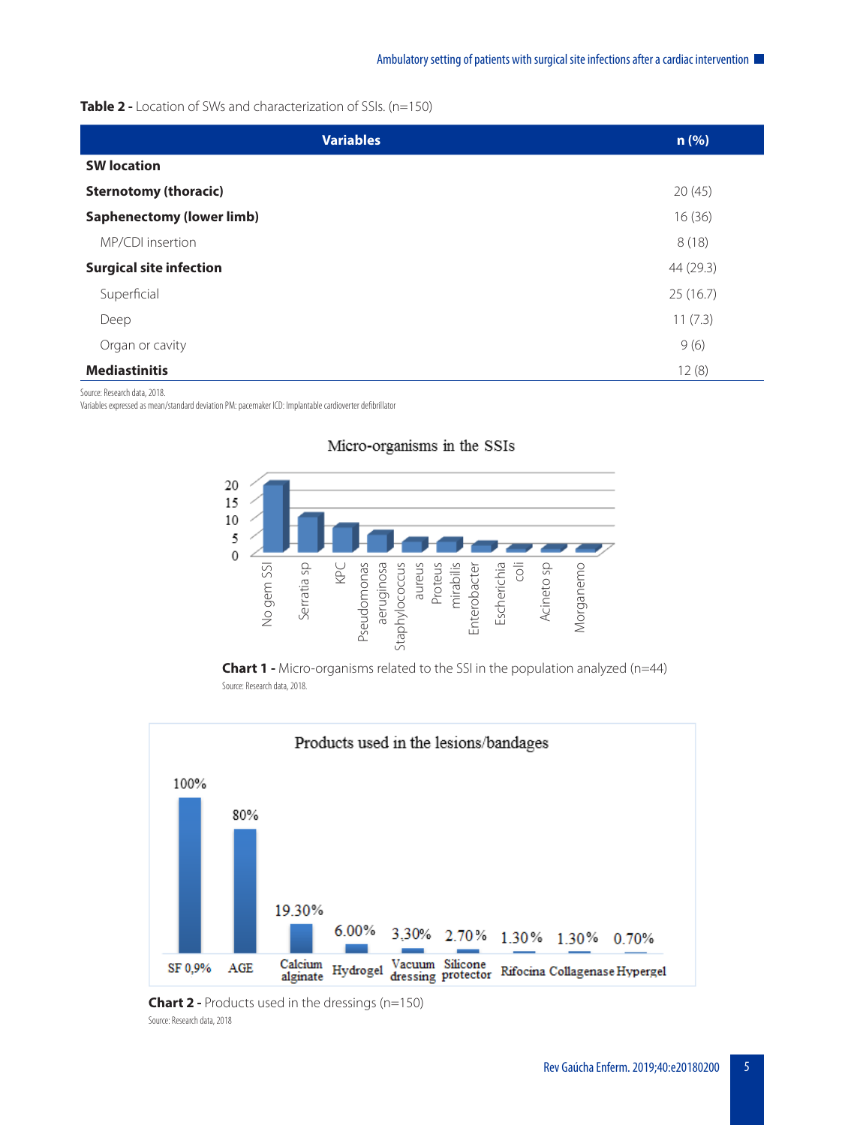## **Table 2 -** Location of SWs and characterization of SSIs. (n=150)

| <b>Variables</b>                 | n(%)      |
|----------------------------------|-----------|
| <b>SW location</b>               |           |
| <b>Sternotomy (thoracic)</b>     | 20(45)    |
| <b>Saphenectomy (lower limb)</b> | 16(36)    |
| MP/CDI insertion                 | 8(18)     |
| <b>Surgical site infection</b>   | 44 (29.3) |
| Superficial                      | 25(16.7)  |
| Deep                             | 11(7.3)   |
| Organ or cavity                  | 9(6)      |
| <b>Mediastinitis</b>             | 12(8)     |

Source: Research data, 2018.

Variables expressed as mean/standard deviation PM: pacemaker ICD: Implantable cardioverter defibrillator



# Micro-organisms in the SSIs

**Chart 1 -** Micro-organisms related to the SSI in the population analyzed (n=44) Source: Research data, 2018.



**Chart 2 - Products used in the dressings (n=150)** Source: Research data, 2018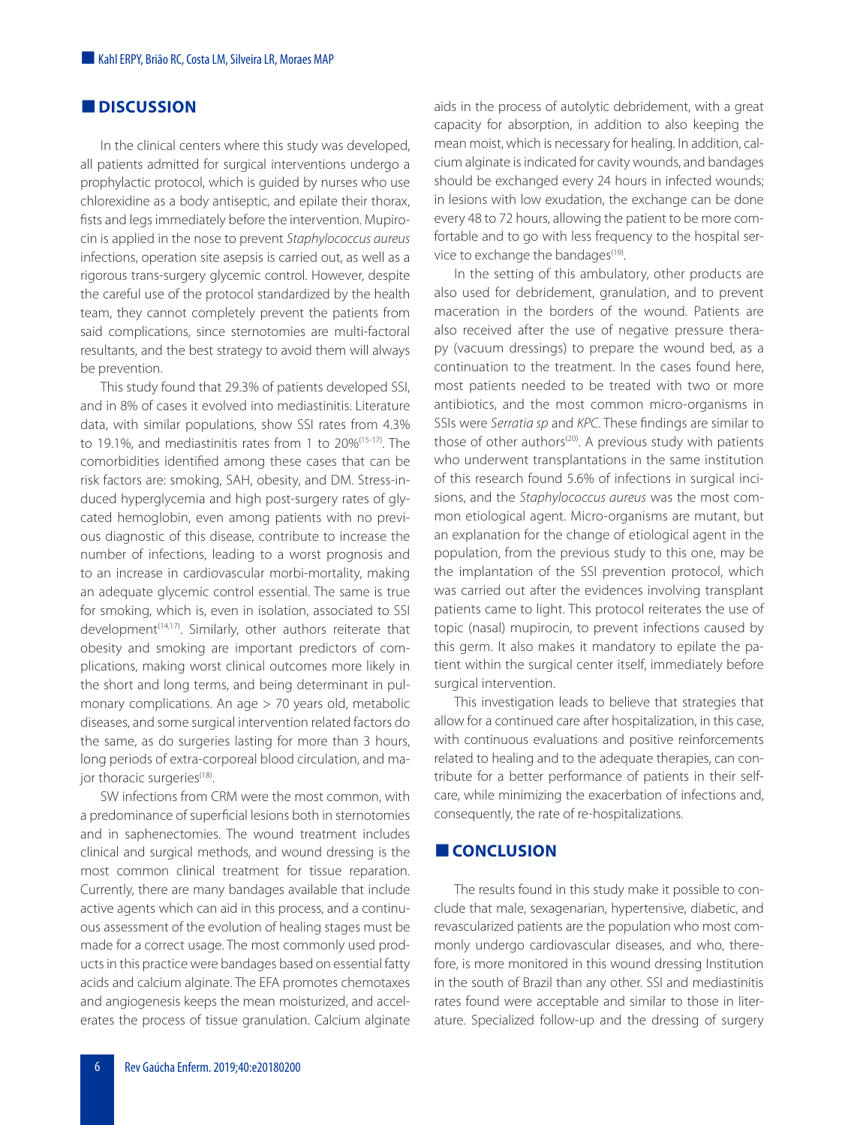# **DISCUSSION**

In the clinical centers where this study was developed, all patients admitted for surgical interventions undergo a prophylactic protocol, which is guided by nurses who use chlorexidine as a body antiseptic, and epilate their thorax, fists and legs immediately before the intervention. Mupirocin is applied in the nose to prevent *Staphylococcus aureus* infections, operation site asepsis is carried out, as well as a rigorous trans-surgery glycemic control. However, despite the careful use of the protocol standardized by the health team, they cannot completely prevent the patients from said complications, since sternotomies are multi-factoral resultants, and the best strategy to avoid them will always be prevention.

This study found that 29.3% of patients developed SSI, and in 8% of cases it evolved into mediastinitis. Literature data, with similar populations, show SSI rates from 4.3% to 19.1%, and mediastinitis rates from 1 to 20%(15-17). The comorbidities identified among these cases that can be risk factors are: smoking, SAH, obesity, and DM. Stress-induced hyperglycemia and high post-surgery rates of glycated hemoglobin, even among patients with no previous diagnostic of this disease, contribute to increase the number of infections, leading to a worst prognosis and to an increase in cardiovascular morbi-mortality, making an adequate glycemic control essential. The same is true for smoking, which is, even in isolation, associated to SSI development<sup>(14,17)</sup>. Similarly, other authors reiterate that obesity and smoking are important predictors of complications, making worst clinical outcomes more likely in the short and long terms, and being determinant in pulmonary complications. An age > 70 years old, metabolic diseases, and some surgical intervention related factors do the same, as do surgeries lasting for more than 3 hours, long periods of extra-corporeal blood circulation, and major thoracic surgeries<sup>(18)</sup>.

SW infections from CRM were the most common, with a predominance of superficial lesions both in sternotomies and in saphenectomies. The wound treatment includes clinical and surgical methods, and wound dressing is the most common clinical treatment for tissue reparation. Currently, there are many bandages available that include active agents which can aid in this process, and a continuous assessment of the evolution of healing stages must be made for a correct usage. The most commonly used products in this practice were bandages based on essential fatty acids and calcium alginate. The EFA promotes chemotaxes and angiogenesis keeps the mean moisturized, and accelerates the process of tissue granulation. Calcium alginate

aids in the process of autolytic debridement, with a great capacity for absorption, in addition to also keeping the mean moist, which is necessary for healing. In addition, calcium alginate is indicated for cavity wounds, and bandages should be exchanged every 24 hours in infected wounds; in lesions with low exudation, the exchange can be done every 48 to 72 hours, allowing the patient to be more comfortable and to go with less frequency to the hospital service to exchange the bandages<sup>(19)</sup>.

In the setting of this ambulatory, other products are also used for debridement, granulation, and to prevent maceration in the borders of the wound. Patients are also received after the use of negative pressure therapy (vacuum dressings) to prepare the wound bed, as a continuation to the treatment. In the cases found here, most patients needed to be treated with two or more antibiotics, and the most common micro-organisms in SSIs were *Serratia sp* and *KPC*. These findings are similar to those of other authors<sup>(20)</sup>. A previous study with patients who underwent transplantations in the same institution of this research found 5.6% of infections in surgical incisions, and the *Staphylococcus aureus* was the most common etiological agent. Micro-organisms are mutant, but an explanation for the change of etiological agent in the population, from the previous study to this one, may be the implantation of the SSI prevention protocol, which was carried out after the evidences involving transplant patients came to light. This protocol reiterates the use of topic (nasal) mupirocin, to prevent infections caused by this germ. It also makes it mandatory to epilate the patient within the surgical center itself, immediately before surgical intervention.

This investigation leads to believe that strategies that allow for a continued care after hospitalization, in this case, with continuous evaluations and positive reinforcements related to healing and to the adequate therapies, can contribute for a better performance of patients in their selfcare, while minimizing the exacerbation of infections and, consequently, the rate of re-hospitalizations.

## **CONCLUSION**

The results found in this study make it possible to conclude that male, sexagenarian, hypertensive, diabetic, and revascularized patients are the population who most commonly undergo cardiovascular diseases, and who, therefore, is more monitored in this wound dressing Institution in the south of Brazil than any other. SSI and mediastinitis rates found were acceptable and similar to those in literature. Specialized follow-up and the dressing of surgery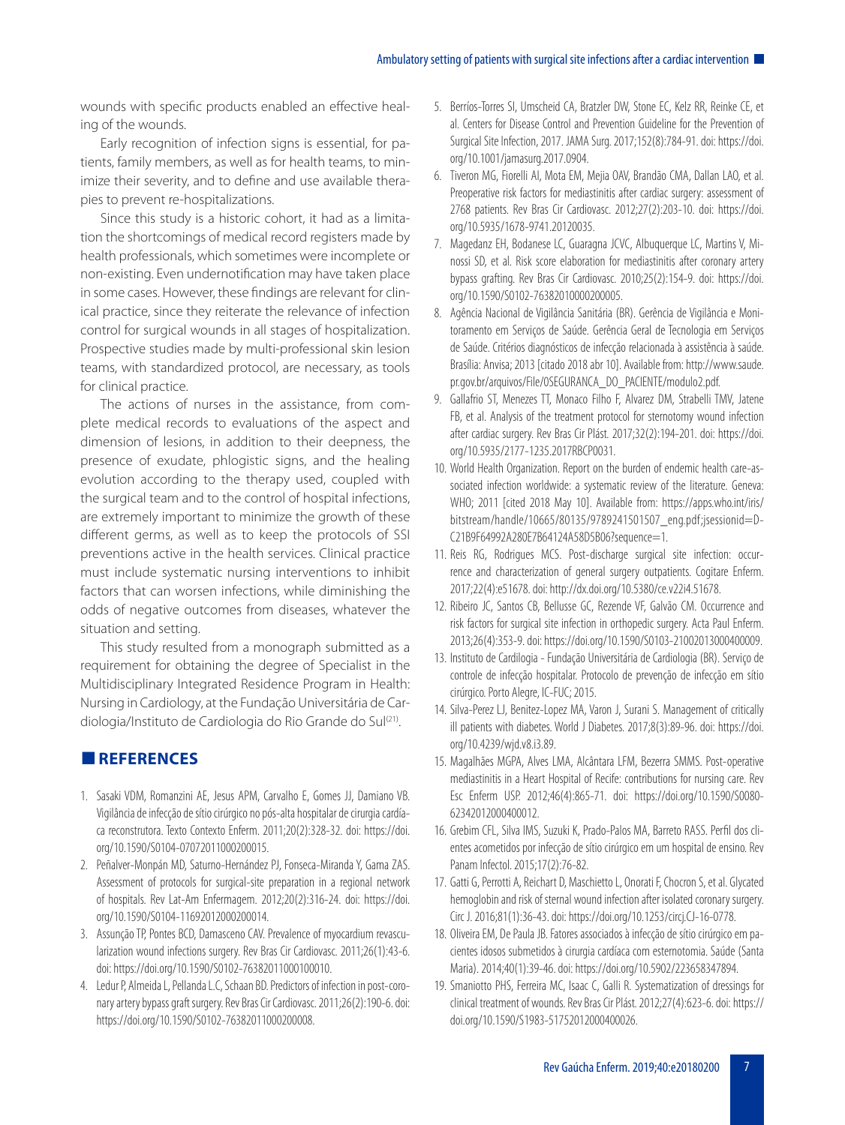wounds with specific products enabled an effective healing of the wounds.

Early recognition of infection signs is essential, for patients, family members, as well as for health teams, to minimize their severity, and to define and use available therapies to prevent re-hospitalizations.

Since this study is a historic cohort, it had as a limitation the shortcomings of medical record registers made by health professionals, which sometimes were incomplete or non-existing. Even undernotification may have taken place in some cases. However, these findings are relevant for clinical practice, since they reiterate the relevance of infection control for surgical wounds in all stages of hospitalization. Prospective studies made by multi-professional skin lesion teams, with standardized protocol, are necessary, as tools for clinical practice.

The actions of nurses in the assistance, from complete medical records to evaluations of the aspect and dimension of lesions, in addition to their deepness, the presence of exudate, phlogistic signs, and the healing evolution according to the therapy used, coupled with the surgical team and to the control of hospital infections, are extremely important to minimize the growth of these different germs, as well as to keep the protocols of SSI preventions active in the health services. Clinical practice must include systematic nursing interventions to inhibit factors that can worsen infections, while diminishing the odds of negative outcomes from diseases, whatever the situation and setting.

This study resulted from a monograph submitted as a requirement for obtaining the degree of Specialist in the Multidisciplinary Integrated Residence Program in Health: Nursing in Cardiology, at the Fundação Universitária de Cardiologia/Instituto de Cardiologia do Rio Grande do Sul(21).

# **REFERENCES**

- 1. Sasaki VDM, Romanzini AE, Jesus APM, Carvalho E, Gomes JJ, Damiano VB. Vigilância de infecção de sítio cirúrgico no pós-alta hospitalar de cirurgia cardíaca reconstrutora. Texto Contexto Enferm. 2011;20(2):328-32. doi: [https://doi.](https://doi.org/10.1590/S0104-07072011000200015) [org/10.1590/S0104-07072011000200015](https://doi.org/10.1590/S0104-07072011000200015).
- 2. Peñalver-Monpán MD, Saturno-Hernández PJ, Fonseca-Miranda Y, Gama ZAS. Assessment of protocols for surgical-site preparation in a regional network of hospitals. Rev Lat-Am Enfermagem. 2012;20(2):316-24. doi: [https://doi.](https://doi.org/10.1590/S0104-11692012000200014) [org/10.1590/S0104-11692012000200014](https://doi.org/10.1590/S0104-11692012000200014).
- 3. Assunção TP, Pontes BCD, Damasceno CAV. Prevalence of myocardium revascularization wound infections surgery. Rev Bras Cir Cardiovasc. 2011;26(1):43-6. doi:<https://doi.org/10.1590/S0102-76382011000100010>.
- 4. Ledur P, Almeida L, Pellanda L.C, Schaan BD. Predictors of infection in post-coronary artery bypass graft surgery. Rev Bras Cir Cardiovasc. 2011;26(2):190-6. doi: <https://doi.org/10.1590/S0102-76382011000200008>.
- 5. Berríos-Torres SI, Umscheid CA, Bratzler DW, Stone EC, Kelz RR, Reinke CE, et al. Centers for Disease Control and Prevention Guideline for the Prevention of Surgical Site Infection, 2017. JAMA Surg. 2017;152(8):784-91. doi: [https://doi.](https://doi.org/10.1001/jamasurg.2017.0904) [org/10.1001/jamasurg.2017.0904.](https://doi.org/10.1001/jamasurg.2017.0904)
- 6. Tiveron MG, Fiorelli AI, Mota EM, Mejia OAV, Brandão CMA, Dallan LAO, et al. Preoperative risk factors for mediastinitis after cardiac surgery: assessment of 2768 patients. Rev Bras Cir Cardiovasc. 2012;27(2):203-10. doi: [https://doi.](https://doi.org/10.5935/1678-9741.20120035) [org/10.5935/1678-9741.20120035.](https://doi.org/10.5935/1678-9741.20120035)
- 7. Magedanz EH, Bodanese LC, Guaragna JCVC, Albuquerque LC, Martins V, Minossi SD, et al. Risk score elaboration for mediastinitis after coronary artery bypass grafting. Rev Bras Cir Cardiovasc. 2010;25(2):154-9. doi: [https://doi.](https://doi.org/10.1590/S0102-76382010000200005) [org/10.1590/S0102-76382010000200005.](https://doi.org/10.1590/S0102-76382010000200005)
- 8. Agência Nacional de Vigilância Sanitária (BR). Gerência de Vigilância e Monitoramento em Serviços de Saúde. Gerência Geral de Tecnologia em Serviços de Saúde. Critérios diagnósticos de infecção relacionada à assistência à saúde. Brasília: Anvisa; 2013 [citado 2018 abr 10]. Available from: [http://www.saude.](http://www.saude.pr.gov.br/arquivos/File/0SEGURANCA_DO_PACIENTE/modulo2.pdf) [pr.gov.br/arquivos/File/0SEGURANCA\\_DO\\_PACIENTE/modulo2.pdf](http://www.saude.pr.gov.br/arquivos/File/0SEGURANCA_DO_PACIENTE/modulo2.pdf).
- 9. Gallafrio ST, Menezes TT, Monaco Filho F, Alvarez DM, Strabelli TMV, Jatene FB, et al. Analysis of the treatment protocol for sternotomy wound infection after cardiac surgery. Rev Bras Cir Plást. 2017;32(2):194-201. doi: [https://doi.](https://doi.org/10.5935/2177-1235.2017RBCP0031.) [org/10.5935/2177-1235.2017RBCP0031.](https://doi.org/10.5935/2177-1235.2017RBCP0031.)
- 10. World Health Organization. Report on the burden of endemic health care-associated infection worldwide: a systematic review of the literature. Geneva: WHO; 2011 [cited 2018 May 10]. Available from: [https://apps.who.int/iris/](https://apps.who.int/iris/bitstream/handle/10665/80135/9789241501507_eng.pdf;jsessionid=DC21B9F64992) [bitstream/handle/10665/80135/9789241501507\\_eng.pdf;jsessionid=D-](https://apps.who.int/iris/bitstream/handle/10665/80135/9789241501507_eng.pdf;jsessionid=DC21B9F64992)[C21B9F64992A280E7B64124A58D5B06?sequence=1](https://apps.who.int/iris/bitstream/handle/10665/80135/9789241501507_eng.pdf;jsessionid=DC21B9F64992).
- 11. Reis RG, Rodrigues MCS. Post-discharge surgical site infection: occurrence and characterization of general surgery outpatients. Cogitare Enferm. 2017;22(4):e51678. doi: [http://dx.doi.org/10.5380/ce.v22i4.51678.](http://dx.doi.org/10.5380/ce.v22i4.51678)
- 12. Ribeiro JC, Santos CB, Bellusse GC, Rezende VF, Galvão CM. Occurrence and risk factors for surgical site infection in orthopedic surgery. Acta Paul Enferm. 2013;26(4):353-9. doi: <https://doi.org/10.1590/S0103-21002013000400009>.
- 13. Instituto de Cardilogia Fundação Universitária de Cardiologia (BR). Serviço de controle de infecção hospitalar. Protocolo de prevenção de infecção em sítio cirúrgico. Porto Alegre, IC-FUC; 2015.
- 14. Silva-Perez LJ, Benitez-Lopez MA, Varon J, Surani S. Management of critically ill patients with diabetes. World J Diabetes. 2017;8(3):89-96. doi: [https://doi.](https://doi.org/10.4239/wjd.v8.i3.89) [org/10.4239/wjd.v8.i3.89](https://doi.org/10.4239/wjd.v8.i3.89).
- 15. Magalhães MGPA, Alves LMA, Alcântara LFM, Bezerra SMMS. Post-operative mediastinitis in a Heart Hospital of Recife: contributions for nursing care. Rev Esc Enferm USP. 2012;46(4):865-71. doi: [https://doi.org/10.1590/S0080-](https://doi.org/10.1590/S0080-62342012000400012) [62342012000400012.](https://doi.org/10.1590/S0080-62342012000400012)
- 16. Grebim CFL, Silva IMS, Suzuki K, Prado-Palos MA, Barreto RASS. Perfil dos clientes acometidos por infecção de sítio cirúrgico em um hospital de ensino. Rev Panam Infectol. 2015;17(2):76-82.
- 17. Gatti G, Perrotti A, Reichart D, Maschietto L, Onorati F, Chocron S, et al. Glycated hemoglobin and risk of sternal wound infection after isolated coronary surgery. Circ J. 2016;81(1):36-43. doi: <https://doi.org/10.1253/circj.CJ-16-0778>.
- 18. Oliveira EM, De Paula JB. Fatores associados à infecção de sítio cirúrgico em pacientes idosos submetidos à cirurgia cardíaca com esternotomia. Saúde (Santa Maria). 2014;40(1):39-46. doi: https://doi.org/10.5902/223658347894.
- 19. Smaniotto PHS, Ferreira MC, Isaac C, Galli R. Systematization of dressings for clinical treatment of wounds. Rev Bras Cir Plást. 2012;27(4):623-6. doi: [https://](https://doi.org/10.1590/S1983-51752012000400026) [doi.org/10.1590/S1983-51752012000400026](https://doi.org/10.1590/S1983-51752012000400026).